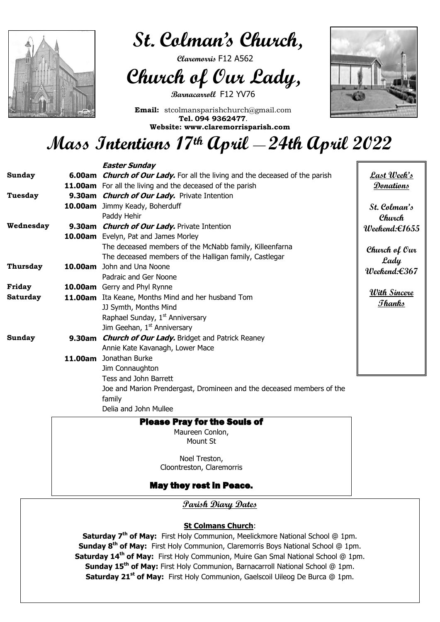**Last Week's Donations**

**St. Colman's Church Weekend:€1655**

**Church of Our Lady Weekend:€367**

**With Sincere Thanks**

 $\overline{a}$ 



 **St. Colman's Church,** 

 **Claremorris** F12 A562

 **Church of Our Lady,**

**Barnacarroll** F12 YV76

**Email:** stcolmansparishchurch@gmail.com **Tel. 094 9362477. Website: www.claremorrisparish.com**



# **Mass Intentions 17th April \_\_ 24th April 2022**

## Please Pray for the Souls of

Maureen Conlon, Mount St

Noel Treston, Cloontreston, Claremorris

### May they rest in Peace.

### **Easter Sunday Sunday 6.00am Church of Our Lady.** For all the living and the deceased of the parish **11.00am** For all the living and the deceased of the parish **Tuesday 9.30am Church of Our Lady.** Private Intention **10.00am** Jimmy Keady, Boherduff Paddy Hehir **Wednesday 9.30am Church of Our Lady.** Private Intention **10.00am** Evelyn, Pat and James Morley The deceased members of the McNabb family, Killeenfarna The deceased members of the Halligan family, Castlegar **Thursday 10.00am** John and Una Noone Padraic and Ger Noone **Friday 10.00am** Gerry and Phyl Rynne **Saturday 11.00am** Ita Keane, Months Mind and her husband Tom JJ Symth, Months Mind Raphael Sunday,  $1<sup>st</sup>$  Anniversary Jim Geehan,  $1<sup>st</sup>$  Anniversary **Sunday 9.30am Church of Our Lady.** Bridget and Patrick Reaney Annie Kate Kavanagh, Lower Mace **11.00am** Jonathan Burke Jim Connaughton

Tess and John Barrett

Joe and Marion Prendergast, Dromineen and the deceased members of the

family

Delia and John Mullee

**Parish Diary Dates**

### **St Colmans Church**:

**Saturday 7th of May:** First Holy Communion, Meelickmore National School @ 1pm. **Sunday 8th of May:** First Holy Communion, Claremorris Boys National School @ 1pm. **Saturday 14th of May:** First Holy Communion, Muire Gan Smal National School @ 1pm. **Sunday 15th of May:** First Holy Communion, Barnacarroll National School @ 1pm. **Saturday 21st of May:** First Holy Communion, Gaelscoil Uileog De Burca @ 1pm.